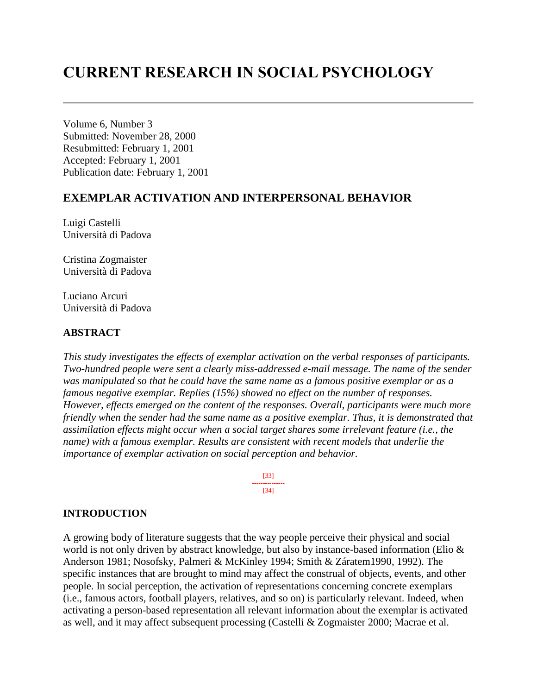# **CURRENT RESEARCH IN SOCIAL PSYCHOLOGY**

Volume 6, Number 3 Submitted: November 28, 2000 Resubmitted: February 1, 2001 Accepted: February 1, 2001 Publication date: February 1, 2001

# **EXEMPLAR ACTIVATION AND INTERPERSONAL BEHAVIOR**

Luigi Castelli Università di Padova

Cristina Zogmaister Università di Padova

Luciano Arcuri Università di Padova

### **ABSTRACT**

*This study investigates the effects of exemplar activation on the verbal responses of participants. Two-hundred people were sent a clearly miss-addressed e-mail message. The name of the sender was manipulated so that he could have the same name as a famous positive exemplar or as a famous negative exemplar. Replies (15%) showed no effect on the number of responses. However, effects emerged on the content of the responses. Overall, participants were much more friendly when the sender had the same name as a positive exemplar. Thus, it is demonstrated that assimilation effects might occur when a social target shares some irrelevant feature (i.e., the name) with a famous exemplar. Results are consistent with recent models that underlie the importance of exemplar activation on social perception and behavior.*

> [33] --------------- [34]

#### **INTRODUCTION**

A growing body of literature suggests that the way people perceive their physical and social world is not only driven by abstract knowledge, but also by instance-based information (Elio & Anderson 1981; Nosofsky, Palmeri & McKinley 1994; Smith & Záratem1990, 1992). The specific instances that are brought to mind may affect the construal of objects, events, and other people. In social perception, the activation of representations concerning concrete exemplars (i.e., famous actors, football players, relatives, and so on) is particularly relevant. Indeed, when activating a person-based representation all relevant information about the exemplar is activated as well, and it may affect subsequent processing (Castelli & Zogmaister 2000; Macrae et al.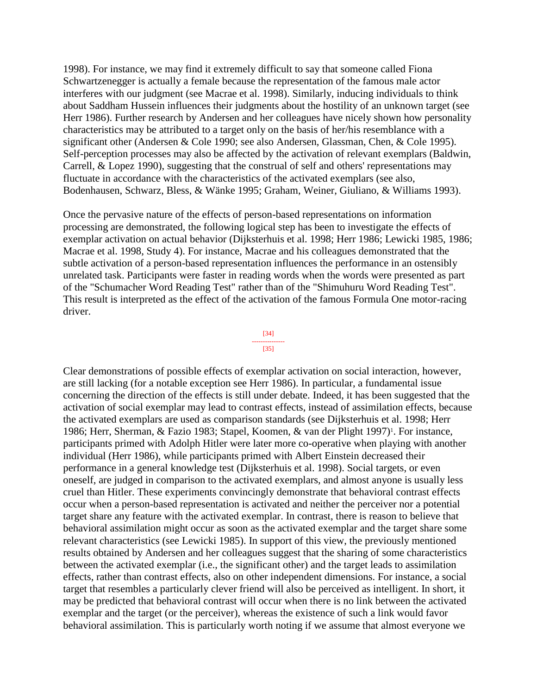1998). For instance, we may find it extremely difficult to say that someone called Fiona Schwartzenegger is actually a female because the representation of the famous male actor interferes with our judgment (see Macrae et al. 1998). Similarly, inducing individuals to think about Saddham Hussein influences their judgments about the hostility of an unknown target (see Herr 1986). Further research by Andersen and her colleagues have nicely shown how personality characteristics may be attributed to a target only on the basis of her/his resemblance with a significant other (Andersen & Cole 1990; see also Andersen, Glassman, Chen, & Cole 1995). Self-perception processes may also be affected by the activation of relevant exemplars (Baldwin, Carrell, & Lopez 1990), suggesting that the construal of self and others' representations may fluctuate in accordance with the characteristics of the activated exemplars (see also, Bodenhausen, Schwarz, Bless, & Wänke 1995; Graham, Weiner, Giuliano, & Williams 1993).

Once the pervasive nature of the effects of person-based representations on information processing are demonstrated, the following logical step has been to investigate the effects of exemplar activation on actual behavior (Dijksterhuis et al. 1998; Herr 1986; Lewicki 1985, 1986; Macrae et al. 1998, Study 4). For instance, Macrae and his colleagues demonstrated that the subtle activation of a person-based representation influences the performance in an ostensibly unrelated task. Participants were faster in reading words when the words were presented as part of the "Schumacher Word Reading Test" rather than of the "Shimuhuru Word Reading Test". This result is interpreted as the effect of the activation of the famous Formula One motor-racing driver.



Clear demonstrations of possible effects of exemplar activation on social interaction, however, are still lacking (for a notable exception see Herr 1986). In particular, a fundamental issue concerning the direction of the effects is still under debate. Indeed, it has been suggested that the activation of social exemplar may lead to contrast effects, instead of assimilation effects, because the activated exemplars are used as comparison standards (see Dijksterhuis et al. 1998; Herr 1986; Herr, Sherman, & Fazio 1983; Stapel, Koomen, & van der Plight 1997)<sup>1</sup>. For instance, participants primed with Adolph Hitler were later more co-operative when playing with another individual (Herr 1986), while participants primed with Albert Einstein decreased their performance in a general knowledge test (Dijksterhuis et al. 1998). Social targets, or even oneself, are judged in comparison to the activated exemplars, and almost anyone is usually less cruel than Hitler. These experiments convincingly demonstrate that behavioral contrast effects occur when a person-based representation is activated and neither the perceiver nor a potential target share any feature with the activated exemplar. In contrast, there is reason to believe that behavioral assimilation might occur as soon as the activated exemplar and the target share some relevant characteristics (see Lewicki 1985). In support of this view, the previously mentioned results obtained by Andersen and her colleagues suggest that the sharing of some characteristics between the activated exemplar (i.e., the significant other) and the target leads to assimilation effects, rather than contrast effects, also on other independent dimensions. For instance, a social target that resembles a particularly clever friend will also be perceived as intelligent. In short, it may be predicted that behavioral contrast will occur when there is no link between the activated exemplar and the target (or the perceiver), whereas the existence of such a link would favor behavioral assimilation. This is particularly worth noting if we assume that almost everyone we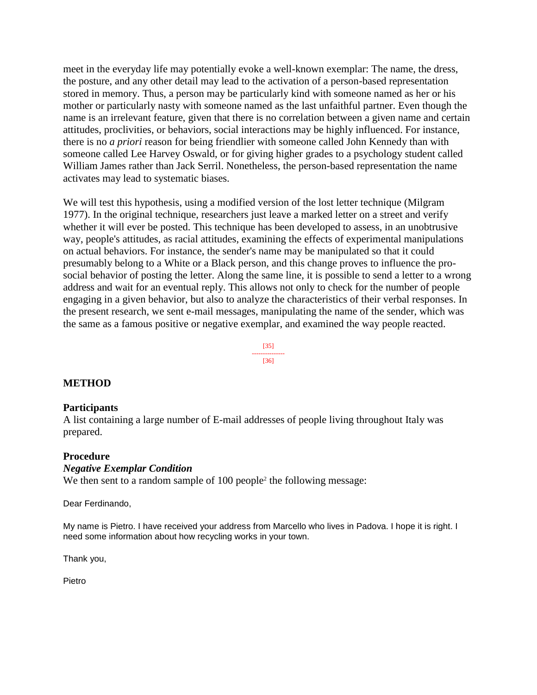meet in the everyday life may potentially evoke a well-known exemplar: The name, the dress, the posture, and any other detail may lead to the activation of a person-based representation stored in memory. Thus, a person may be particularly kind with someone named as her or his mother or particularly nasty with someone named as the last unfaithful partner. Even though the name is an irrelevant feature, given that there is no correlation between a given name and certain attitudes, proclivities, or behaviors, social interactions may be highly influenced. For instance, there is no *a priori* reason for being friendlier with someone called John Kennedy than with someone called Lee Harvey Oswald, or for giving higher grades to a psychology student called William James rather than Jack Serril. Nonetheless, the person-based representation the name activates may lead to systematic biases.

We will test this hypothesis, using a modified version of the lost letter technique (Milgram 1977). In the original technique, researchers just leave a marked letter on a street and verify whether it will ever be posted. This technique has been developed to assess, in an unobtrusive way, people's attitudes, as racial attitudes, examining the effects of experimental manipulations on actual behaviors. For instance, the sender's name may be manipulated so that it could presumably belong to a White or a Black person, and this change proves to influence the prosocial behavior of posting the letter. Along the same line, it is possible to send a letter to a wrong address and wait for an eventual reply. This allows not only to check for the number of people engaging in a given behavior, but also to analyze the characteristics of their verbal responses. In the present research, we sent e-mail messages, manipulating the name of the sender, which was the same as a famous positive or negative exemplar, and examined the way people reacted.

> [35] --------------- [36]

### **METHOD**

#### **Participants**

A list containing a large number of E-mail addresses of people living throughout Italy was prepared.

#### **Procedure**

#### *Negative Exemplar Condition*

We then sent to a random sample of 100 people<sup>2</sup> the following message:

Dear Ferdinando,

My name is Pietro. I have received your address from Marcello who lives in Padova. I hope it is right. I need some information about how recycling works in your town.

Thank you,

Pietro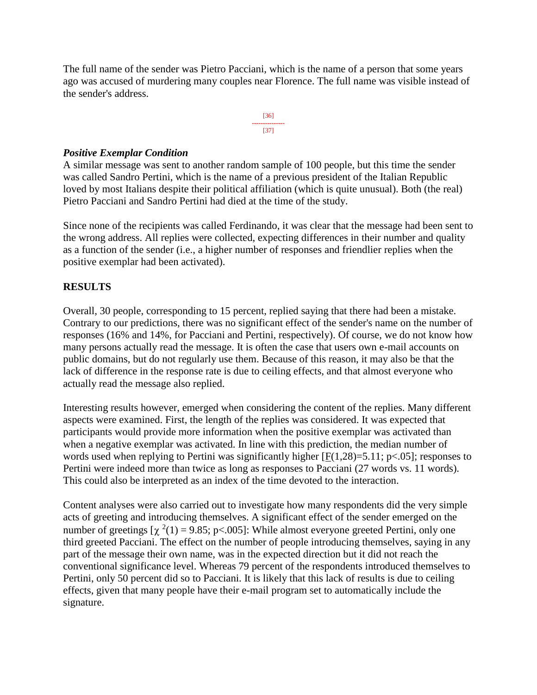The full name of the sender was Pietro Pacciani, which is the name of a person that some years ago was accused of murdering many couples near Florence. The full name was visible instead of the sender's address.



## *Positive Exemplar Condition*

A similar message was sent to another random sample of 100 people, but this time the sender was called Sandro Pertini, which is the name of a previous president of the Italian Republic loved by most Italians despite their political affiliation (which is quite unusual). Both (the real) Pietro Pacciani and Sandro Pertini had died at the time of the study.

Since none of the recipients was called Ferdinando, it was clear that the message had been sent to the wrong address. All replies were collected, expecting differences in their number and quality as a function of the sender (i.e., a higher number of responses and friendlier replies when the positive exemplar had been activated).

# **RESULTS**

Overall, 30 people, corresponding to 15 percent, replied saying that there had been a mistake. Contrary to our predictions, there was no significant effect of the sender's name on the number of responses (16% and 14%, for Pacciani and Pertini, respectively). Of course, we do not know how many persons actually read the message. It is often the case that users own e-mail accounts on public domains, but do not regularly use them. Because of this reason, it may also be that the lack of difference in the response rate is due to ceiling effects, and that almost everyone who actually read the message also replied.

Interesting results however, emerged when considering the content of the replies. Many different aspects were examined. First, the length of the replies was considered. It was expected that participants would provide more information when the positive exemplar was activated than when a negative exemplar was activated. In line with this prediction, the median number of words used when replying to Pertini was significantly higher  $[F(1,28)=5.11; p<0.05]$ ; responses to Pertini were indeed more than twice as long as responses to Pacciani (27 words vs. 11 words). This could also be interpreted as an index of the time devoted to the interaction.

Content analyses were also carried out to investigate how many respondents did the very simple acts of greeting and introducing themselves. A significant effect of the sender emerged on the number of greetings  $[\chi^2(1) = 9.85; p<0.005]$ : While almost everyone greeted Pertini, only one third greeted Pacciani. The effect on the number of people introducing themselves, saying in any part of the message their own name, was in the expected direction but it did not reach the conventional significance level. Whereas 79 percent of the respondents introduced themselves to Pertini, only 50 percent did so to Pacciani. It is likely that this lack of results is due to ceiling effects, given that many people have their e-mail program set to automatically include the signature.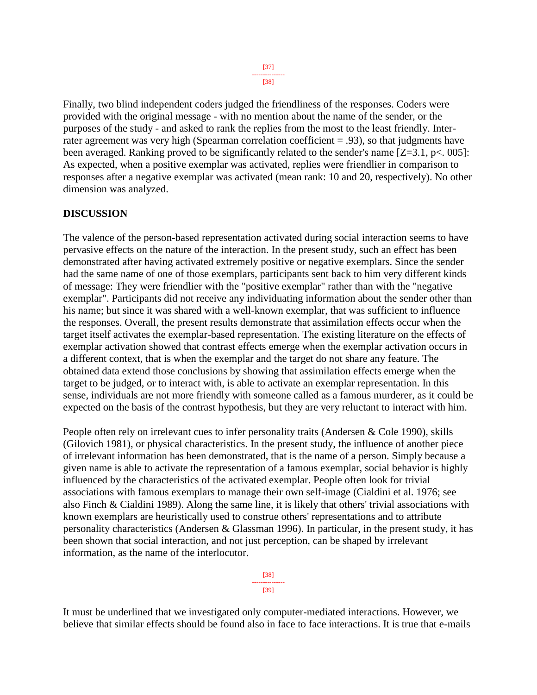[38]

Finally, two blind independent coders judged the friendliness of the responses. Coders were provided with the original message - with no mention about the name of the sender, or the purposes of the study - and asked to rank the replies from the most to the least friendly. Interrater agreement was very high (Spearman correlation coefficient = .93), so that judgments have been averaged. Ranking proved to be significantly related to the sender's name [Z=3.1, p<. 005]: As expected, when a positive exemplar was activated, replies were friendlier in comparison to responses after a negative exemplar was activated (mean rank: 10 and 20, respectively). No other dimension was analyzed.

## **DISCUSSION**

The valence of the person-based representation activated during social interaction seems to have pervasive effects on the nature of the interaction. In the present study, such an effect has been demonstrated after having activated extremely positive or negative exemplars. Since the sender had the same name of one of those exemplars, participants sent back to him very different kinds of message: They were friendlier with the "positive exemplar" rather than with the "negative exemplar". Participants did not receive any individuating information about the sender other than his name; but since it was shared with a well-known exemplar, that was sufficient to influence the responses. Overall, the present results demonstrate that assimilation effects occur when the target itself activates the exemplar-based representation. The existing literature on the effects of exemplar activation showed that contrast effects emerge when the exemplar activation occurs in a different context, that is when the exemplar and the target do not share any feature. The obtained data extend those conclusions by showing that assimilation effects emerge when the target to be judged, or to interact with, is able to activate an exemplar representation. In this sense, individuals are not more friendly with someone called as a famous murderer, as it could be expected on the basis of the contrast hypothesis, but they are very reluctant to interact with him.

People often rely on irrelevant cues to infer personality traits (Andersen & Cole 1990), skills (Gilovich 1981), or physical characteristics. In the present study, the influence of another piece of irrelevant information has been demonstrated, that is the name of a person. Simply because a given name is able to activate the representation of a famous exemplar, social behavior is highly influenced by the characteristics of the activated exemplar. People often look for trivial associations with famous exemplars to manage their own self-image (Cialdini et al. 1976; see also Finch & Cialdini 1989). Along the same line, it is likely that others' trivial associations with known exemplars are heuristically used to construe others' representations and to attribute personality characteristics (Andersen & Glassman 1996). In particular, in the present study, it has been shown that social interaction, and not just perception, can be shaped by irrelevant information, as the name of the interlocutor.

> [38] --------------- [39]

It must be underlined that we investigated only computer-mediated interactions. However, we believe that similar effects should be found also in face to face interactions. It is true that e-mails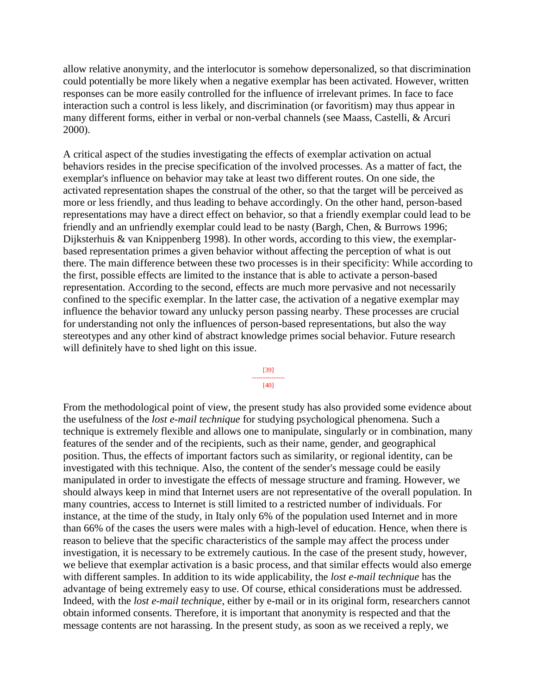allow relative anonymity, and the interlocutor is somehow depersonalized, so that discrimination could potentially be more likely when a negative exemplar has been activated. However, written responses can be more easily controlled for the influence of irrelevant primes. In face to face interaction such a control is less likely, and discrimination (or favoritism) may thus appear in many different forms, either in verbal or non-verbal channels (see Maass, Castelli, & Arcuri 2000).

A critical aspect of the studies investigating the effects of exemplar activation on actual behaviors resides in the precise specification of the involved processes. As a matter of fact, the exemplar's influence on behavior may take at least two different routes. On one side, the activated representation shapes the construal of the other, so that the target will be perceived as more or less friendly, and thus leading to behave accordingly. On the other hand, person-based representations may have a direct effect on behavior, so that a friendly exemplar could lead to be friendly and an unfriendly exemplar could lead to be nasty (Bargh, Chen, & Burrows 1996; Dijksterhuis & van Knippenberg 1998). In other words, according to this view, the exemplarbased representation primes a given behavior without affecting the perception of what is out there. The main difference between these two processes is in their specificity: While according to the first, possible effects are limited to the instance that is able to activate a person-based representation. According to the second, effects are much more pervasive and not necessarily confined to the specific exemplar. In the latter case, the activation of a negative exemplar may influence the behavior toward any unlucky person passing nearby. These processes are crucial for understanding not only the influences of person-based representations, but also the way stereotypes and any other kind of abstract knowledge primes social behavior. Future research will definitely have to shed light on this issue.

> [39] --------------- [40]

From the methodological point of view, the present study has also provided some evidence about the usefulness of the *lost e-mail technique* for studying psychological phenomena. Such a technique is extremely flexible and allows one to manipulate, singularly or in combination, many features of the sender and of the recipients, such as their name, gender, and geographical position. Thus, the effects of important factors such as similarity, or regional identity, can be investigated with this technique. Also, the content of the sender's message could be easily manipulated in order to investigate the effects of message structure and framing. However, we should always keep in mind that Internet users are not representative of the overall population. In many countries, access to Internet is still limited to a restricted number of individuals. For instance, at the time of the study, in Italy only 6% of the population used Internet and in more than 66% of the cases the users were males with a high-level of education. Hence, when there is reason to believe that the specific characteristics of the sample may affect the process under investigation, it is necessary to be extremely cautious. In the case of the present study, however, we believe that exemplar activation is a basic process, and that similar effects would also emerge with different samples. In addition to its wide applicability, the *lost e-mail technique* has the advantage of being extremely easy to use. Of course, ethical considerations must be addressed. Indeed, with the *lost e-mail technique*, either by e-mail or in its original form, researchers cannot obtain informed consents. Therefore, it is important that anonymity is respected and that the message contents are not harassing. In the present study, as soon as we received a reply, we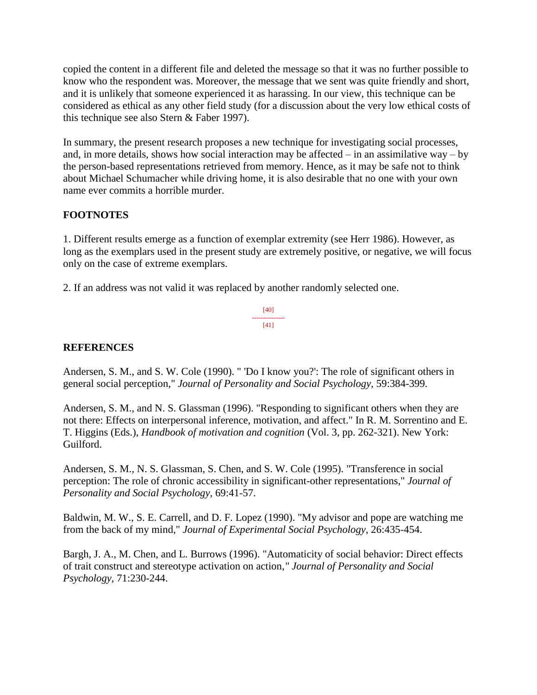copied the content in a different file and deleted the message so that it was no further possible to know who the respondent was. Moreover, the message that we sent was quite friendly and short, and it is unlikely that someone experienced it as harassing. In our view, this technique can be considered as ethical as any other field study (for a discussion about the very low ethical costs of this technique see also Stern & Faber 1997).

In summary, the present research proposes a new technique for investigating social processes, and, in more details, shows how social interaction may be affected – in an assimilative way – by the person-based representations retrieved from memory. Hence, as it may be safe not to think about Michael Schumacher while driving home, it is also desirable that no one with your own name ever commits a horrible murder.

# **FOOTNOTES**

1. Different results emerge as a function of exemplar extremity (see Herr 1986). However, as long as the exemplars used in the present study are extremely positive, or negative, we will focus only on the case of extreme exemplars.

2. If an address was not valid it was replaced by another randomly selected one.

[40] --------------- [41]

## **REFERENCES**

Andersen, S. M., and S. W. Cole (1990). " 'Do I know you?': The role of significant others in general social perception," *Journal of Personality and Social Psychology*, 59:384-399.

Andersen, S. M., and N. S. Glassman (1996). "Responding to significant others when they are not there: Effects on interpersonal inference, motivation, and affect." In R. M. Sorrentino and E. T. Higgins (Eds.), *Handbook of motivation and cognition* (Vol. 3, pp. 262-321). New York: Guilford.

Andersen, S. M., N. S. Glassman, S. Chen, and S. W. Cole (1995). "Transference in social perception: The role of chronic accessibility in significant-other representations," *Journal of Personality and Social Psychology*, 69:41-57.

Baldwin, M. W., S. E. Carrell, and D. F. Lopez (1990). "My advisor and pope are watching me from the back of my mind," *Journal of Experimental Social Psychology*, 26:435-454.

Bargh, J. A., M. Chen, and L. Burrows (1996). "Automaticity of social behavior: Direct effects of trait construct and stereotype activation on action*," Journal of Personality and Social Psychology*, 71:230-244.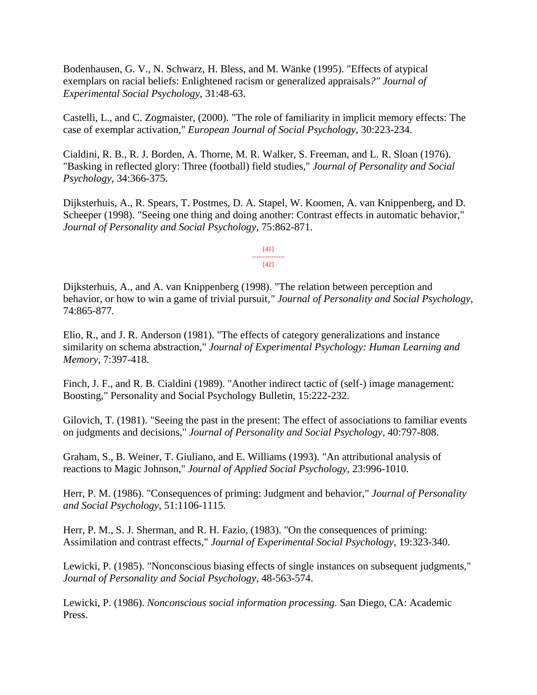Bodenhausen, G. V., N. Schwarz, H. Bless, and M. Wänke (1995). "Effects of atypical exemplars on racial beliefs: Enlightened racism or generalized appraisals*?" Journal of Experimental Social Psychology*, 31:48-63.

Castelli, L., and C. Zogmaister, (2000). "The role of familiarity in implicit memory effects: The case of exemplar activation," *European Journal of Social Psychology*, 30:223-234.

Cialdini, R. B., R. J. Borden, A. Thorne, M. R. Walker, S. Freeman, and L. R. Sloan (1976). "Basking in reflected glory: Three (football) field studies," *Journal of Personality and Social Psychology*, 34:366-375.

Dijksterhuis, A., R. Spears, T. Postmes, D. A. Stapel, W. Koomen, A. van Knippenberg, and D. Scheeper (1998). "Seeing one thing and doing another: Contrast effects in automatic behavior," *Journal of Personality and Social Psychology*, 75:862-871.

> [41] ---------------  $[42]$

## Dijksterhuis, A., and A. van Knippenberg (1998). "The relation between perception and behavior, or how to win a game of trivial pursuit*," Journal of Personality and Social Psychology*, 74:865-877.

Elio, R., and J. R. Anderson (1981). "The effects of category generalizations and instance similarity on schema abstraction," *Journal of Experimental Psychology: Human Learning and Memory*, 7:397-418.

Finch, J. F., and R. B. Cialdini (1989). "Another indirect tactic of (self-) image management: Boosting," Personality and Social Psychology Bulletin, 15:222-232.

Gilovich, T. (1981). "Seeing the past in the present: The effect of associations to familiar events on judgments and decisions," *Journal of Personality and Social Psychology*, 40:797-808.

Graham, S., B. Weiner, T. Giuliano, and E. Williams (1993). "An attributional analysis of reactions to Magic Johnson," *Journal of Applied Social Psychology*, 23:996-1010.

Herr, P. M. (1986). "Consequences of priming: Judgment and behavior," *Journal of Personality and Social Psychology*, 51:1106-1115.

Herr, P. M., S. J. Sherman, and R. H. Fazio, (1983). "On the consequences of priming: Assimilation and contrast effects," *Journal of Experimental Social Psychology*, 19:323-340.

Lewicki, P. (1985). "Nonconscious biasing effects of single instances on subsequent judgments," *Journal of Personality and Social Psychology*, 48-563-574.

Lewicki, P. (1986). *Nonconscious social information processing.* San Diego, CA: Academic Press.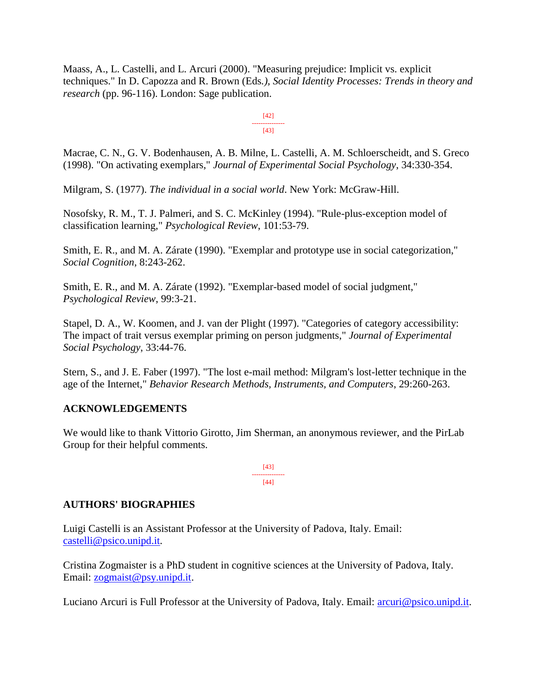Maass, A., L. Castelli, and L. Arcuri (2000). "Measuring prejudice: Implicit vs. explicit techniques." In D. Capozza and R. Brown (Eds*.), Social Identity Processes: Trends in theory and research* (pp. 96-116). London: Sage publication.

> [42] --------------- [43]

Macrae, C. N., G. V. Bodenhausen, A. B. Milne, L. Castelli, A. M. Schloerscheidt, and S. Greco (1998). "On activating exemplars," *Journal of Experimental Social Psychology*, 34:330-354.

Milgram, S. (1977). *The individual in a social world*. New York: McGraw-Hill.

Nosofsky, R. M., T. J. Palmeri, and S. C. McKinley (1994). "Rule-plus-exception model of classification learning," *Psychological Review*, 101:53-79.

Smith, E. R., and M. A. Zárate (1990). "Exemplar and prototype use in social categorization," *Social Cognition*, 8:243-262.

Smith, E. R., and M. A. Zárate (1992). "Exemplar-based model of social judgment," *Psychological Review*, 99:3-21.

Stapel, D. A., W. Koomen, and J. van der Plight (1997). "Categories of category accessibility: The impact of trait versus exemplar priming on person judgments," *Journal of Experimental Social Psychology*, 33:44-76.

Stern, S., and J. E. Faber (1997). "The lost e-mail method: Milgram's lost-letter technique in the age of the Internet," *Behavior Research Methods, Instruments, and Computers*, 29:260-263.

# **ACKNOWLEDGEMENTS**

We would like to thank Vittorio Girotto, Jim Sherman, an anonymous reviewer, and the PirLab Group for their helpful comments.

> [43] --------------- [44]

# **AUTHORS' BIOGRAPHIES**

Luigi Castelli is an Assistant Professor at the University of Padova, Italy. Email: [castelli@psico.unipd.it.](mailto:castelli@psico.unipd.it)

Cristina Zogmaister is a PhD student in cognitive sciences at the University of Padova, Italy. Email: [zogmaist@psy.unipd.it.](mailto:zogmaist@psy.unipd.it)

Luciano Arcuri is Full Professor at the University of Padova, Italy. Email: [arcuri@psico.unipd.it.](mailto:arcuri@psico.unipd.it)